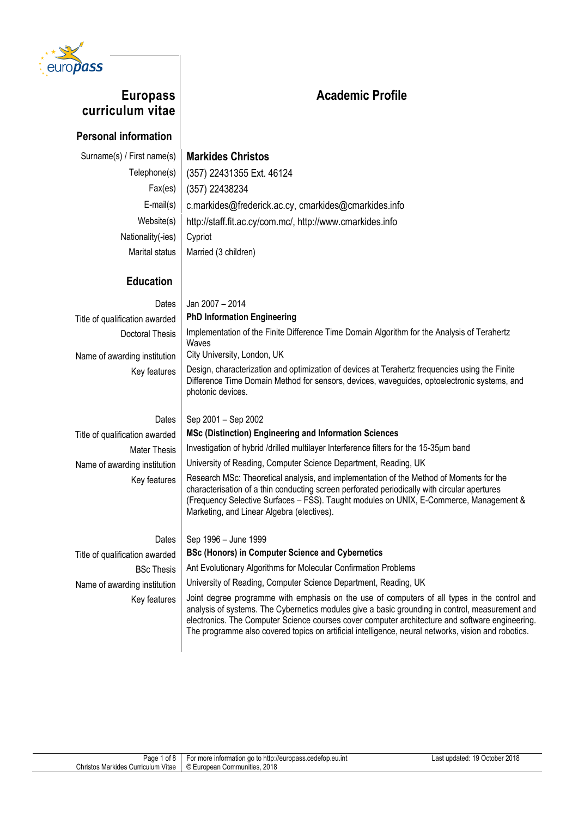

# **Academic Profile**

## **Europass curriculum vitae**

#### **Personal information**

### Surname(s) / First name(s) **Markides Christos**

Telephone(s) (357) 22431355 Ext. 46124 Fax(es) (357) 22438234 E-mail(s) c.markides@frederick.ac.cy, cmarkides@cmarkides.info Website(s) http://staff.fit.ac.cy/com.mc/, http://www.cmarkides.info Nationality(-ies) Cypriot Marital status  $\parallel$  Married (3 children)

#### **Education**

### Dates Jan 2007 – 2014 Title of qualification awarded **PhD Information Engineering** Doctoral Thesis | Implementation of the Finite Difference Time Domain Algorithm for the Analysis of Terahertz Waves Name of awarding institution | City University, London, UK Key features  $\Box$  Design, characterization and optimization of devices at Terahertz frequencies using the Finite Difference Time Domain Method for sensors, devices, waveguides, optoelectronic systems, and photonic devices. Dates  $\vert$  Sep 2001 – Sep 2002 Title of qualification awarded **MSc (Distinction) Engineering and Information Sciences** Mater Thesis | Investigation of hybrid /drilled multilayer Interference filters for the 15-35 µm band Name of awarding institution | University of Reading, Computer Science Department, Reading, UK Key features  $\vert$  Research MSc: Theoretical analysis, and implementation of the Method of Moments for the characterisation of a thin conducting screen perforated periodically with circular apertures (Frequency Selective Surfaces – FSS). Taught modules on UNIX, E-Commerce, Management & Marketing, and Linear Algebra (electives). Dates  $\vert$  Sep 1996 – June 1999

Title of qualification awarded **BSc (Honors) in Computer Science and Cybernetics** BSc Thesis | Ant Evolutionary Algorithms for Molecular Confirmation Problems

Name of awarding institution | University of Reading, Computer Science Department, Reading, UK

Key features I Joint degree programme with emphasis on the use of computers of all types in the control and analysis of systems. The Cybernetics modules give a basic grounding in control, measurement and electronics. The Computer Science courses cover computer architecture and software engineering. The programme also covered topics on artificial intelligence, neural networks, vision and robotics.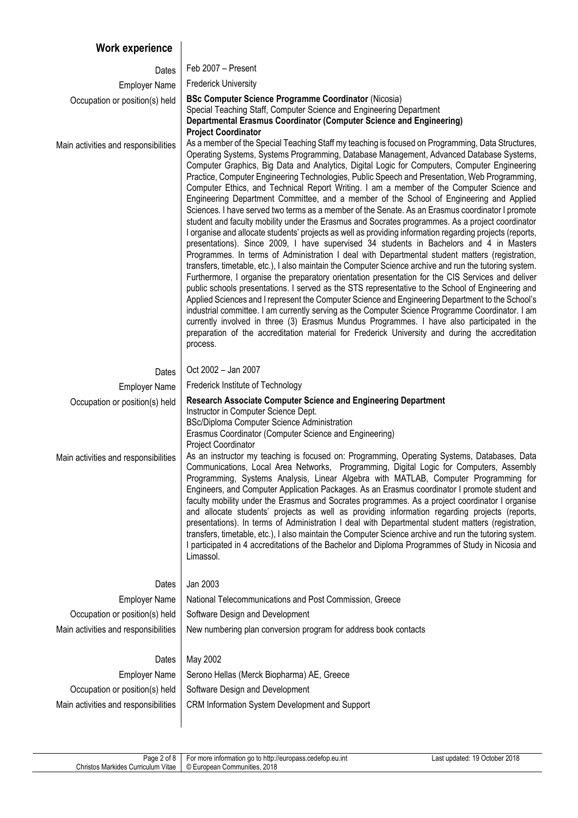## **Work experience**

| Dates                                                  | Feb 2007 - Present                                                                                                                                                                                                                                                                                                                                                                                                                                                                                                                                                                                                                                                                                                                                                                                                                                                                                                                                                                                                                                                                                                                                                                                                                                                                                                                                                                                                                                                                                                                                                                                                                                                                                                                                                                                                                             |
|--------------------------------------------------------|------------------------------------------------------------------------------------------------------------------------------------------------------------------------------------------------------------------------------------------------------------------------------------------------------------------------------------------------------------------------------------------------------------------------------------------------------------------------------------------------------------------------------------------------------------------------------------------------------------------------------------------------------------------------------------------------------------------------------------------------------------------------------------------------------------------------------------------------------------------------------------------------------------------------------------------------------------------------------------------------------------------------------------------------------------------------------------------------------------------------------------------------------------------------------------------------------------------------------------------------------------------------------------------------------------------------------------------------------------------------------------------------------------------------------------------------------------------------------------------------------------------------------------------------------------------------------------------------------------------------------------------------------------------------------------------------------------------------------------------------------------------------------------------------------------------------------------------------|
| <b>Employer Name</b>                                   | <b>Frederick University</b>                                                                                                                                                                                                                                                                                                                                                                                                                                                                                                                                                                                                                                                                                                                                                                                                                                                                                                                                                                                                                                                                                                                                                                                                                                                                                                                                                                                                                                                                                                                                                                                                                                                                                                                                                                                                                    |
| Occupation or position(s) held                         | <b>BSc Computer Science Programme Coordinator (Nicosia)</b><br>Special Teaching Staff, Computer Science and Engineering Department<br>Departmental Erasmus Coordinator (Computer Science and Engineering)<br><b>Project Coordinator</b>                                                                                                                                                                                                                                                                                                                                                                                                                                                                                                                                                                                                                                                                                                                                                                                                                                                                                                                                                                                                                                                                                                                                                                                                                                                                                                                                                                                                                                                                                                                                                                                                        |
| Main activities and responsibilities                   | As a member of the Special Teaching Staff my teaching is focused on Programming, Data Structures,<br>Operating Systems, Systems Programming, Database Management, Advanced Database Systems,<br>Computer Graphics, Big Data and Analytics, Digital Logic for Computers, Computer Engineering<br>Practice, Computer Engineering Technologies, Public Speech and Presentation, Web Programming,<br>Computer Ethics, and Technical Report Writing. I am a member of the Computer Science and<br>Engineering Department Committee, and a member of the School of Engineering and Applied<br>Sciences. I have served two terms as a member of the Senate. As an Erasmus coordinator I promote<br>student and faculty mobility under the Erasmus and Socrates programmes. As a project coordinator<br>I organise and allocate students' projects as well as providing information regarding projects (reports,<br>presentations). Since 2009, I have supervised 34 students in Bachelors and 4 in Masters<br>Programmes. In terms of Administration I deal with Departmental student matters (registration,<br>transfers, timetable, etc.), I also maintain the Computer Science archive and run the tutoring system.<br>Furthermore, I organise the preparatory orientation presentation for the CIS Services and deliver<br>public schools presentations. I served as the STS representative to the School of Engineering and<br>Applied Sciences and I represent the Computer Science and Engineering Department to the School's<br>industrial committee. I am currently serving as the Computer Science Programme Coordinator. I am<br>currently involved in three (3) Erasmus Mundus Programmes. I have also participated in the<br>preparation of the accreditation material for Frederick University and during the accreditation<br>process. |
| Dates                                                  | Oct 2002 - Jan 2007                                                                                                                                                                                                                                                                                                                                                                                                                                                                                                                                                                                                                                                                                                                                                                                                                                                                                                                                                                                                                                                                                                                                                                                                                                                                                                                                                                                                                                                                                                                                                                                                                                                                                                                                                                                                                            |
| <b>Employer Name</b>                                   | Frederick Institute of Technology                                                                                                                                                                                                                                                                                                                                                                                                                                                                                                                                                                                                                                                                                                                                                                                                                                                                                                                                                                                                                                                                                                                                                                                                                                                                                                                                                                                                                                                                                                                                                                                                                                                                                                                                                                                                              |
|                                                        |                                                                                                                                                                                                                                                                                                                                                                                                                                                                                                                                                                                                                                                                                                                                                                                                                                                                                                                                                                                                                                                                                                                                                                                                                                                                                                                                                                                                                                                                                                                                                                                                                                                                                                                                                                                                                                                |
| Occupation or position(s) held                         | <b>Research Associate Computer Science and Engineering Department</b><br>Instructor in Computer Science Dept.<br>BSc/Diploma Computer Science Administration<br>Erasmus Coordinator (Computer Science and Engineering)<br><b>Project Coordinator</b>                                                                                                                                                                                                                                                                                                                                                                                                                                                                                                                                                                                                                                                                                                                                                                                                                                                                                                                                                                                                                                                                                                                                                                                                                                                                                                                                                                                                                                                                                                                                                                                           |
| Main activities and responsibilities                   | As an instructor my teaching is focused on: Programming, Operating Systems, Databases, Data<br>Communications, Local Area Networks, Programming, Digital Logic for Computers, Assembly<br>Programming, Systems Analysis, Linear Algebra with MATLAB, Computer Programming for<br>Engineers, and Computer Application Packages. As an Erasmus coordinator I promote student and<br>faculty mobility under the Erasmus and Socrates programmes. As a project coordinator I organise<br>and allocate students' projects as well as providing information regarding projects (reports,<br>presentations). In terms of Administration I deal with Departmental student matters (registration,<br>transfers, timetable, etc.), I also maintain the Computer Science archive and run the tutoring system.<br>I participated in 4 accreditations of the Bachelor and Diploma Programmes of Study in Nicosia and<br>Limassol.                                                                                                                                                                                                                                                                                                                                                                                                                                                                                                                                                                                                                                                                                                                                                                                                                                                                                                                           |
| Dates                                                  | Jan 2003                                                                                                                                                                                                                                                                                                                                                                                                                                                                                                                                                                                                                                                                                                                                                                                                                                                                                                                                                                                                                                                                                                                                                                                                                                                                                                                                                                                                                                                                                                                                                                                                                                                                                                                                                                                                                                       |
| <b>Employer Name</b>                                   | National Telecommunications and Post Commission, Greece                                                                                                                                                                                                                                                                                                                                                                                                                                                                                                                                                                                                                                                                                                                                                                                                                                                                                                                                                                                                                                                                                                                                                                                                                                                                                                                                                                                                                                                                                                                                                                                                                                                                                                                                                                                        |
| Occupation or position(s) held                         | Software Design and Development                                                                                                                                                                                                                                                                                                                                                                                                                                                                                                                                                                                                                                                                                                                                                                                                                                                                                                                                                                                                                                                                                                                                                                                                                                                                                                                                                                                                                                                                                                                                                                                                                                                                                                                                                                                                                |
| Main activities and responsibilities                   | New numbering plan conversion program for address book contacts                                                                                                                                                                                                                                                                                                                                                                                                                                                                                                                                                                                                                                                                                                                                                                                                                                                                                                                                                                                                                                                                                                                                                                                                                                                                                                                                                                                                                                                                                                                                                                                                                                                                                                                                                                                |
|                                                        |                                                                                                                                                                                                                                                                                                                                                                                                                                                                                                                                                                                                                                                                                                                                                                                                                                                                                                                                                                                                                                                                                                                                                                                                                                                                                                                                                                                                                                                                                                                                                                                                                                                                                                                                                                                                                                                |
| Dates                                                  | May 2002                                                                                                                                                                                                                                                                                                                                                                                                                                                                                                                                                                                                                                                                                                                                                                                                                                                                                                                                                                                                                                                                                                                                                                                                                                                                                                                                                                                                                                                                                                                                                                                                                                                                                                                                                                                                                                       |
| <b>Employer Name</b><br>Occupation or position(s) held | Serono Hellas (Merck Biopharma) AE, Greece<br>Software Design and Development                                                                                                                                                                                                                                                                                                                                                                                                                                                                                                                                                                                                                                                                                                                                                                                                                                                                                                                                                                                                                                                                                                                                                                                                                                                                                                                                                                                                                                                                                                                                                                                                                                                                                                                                                                  |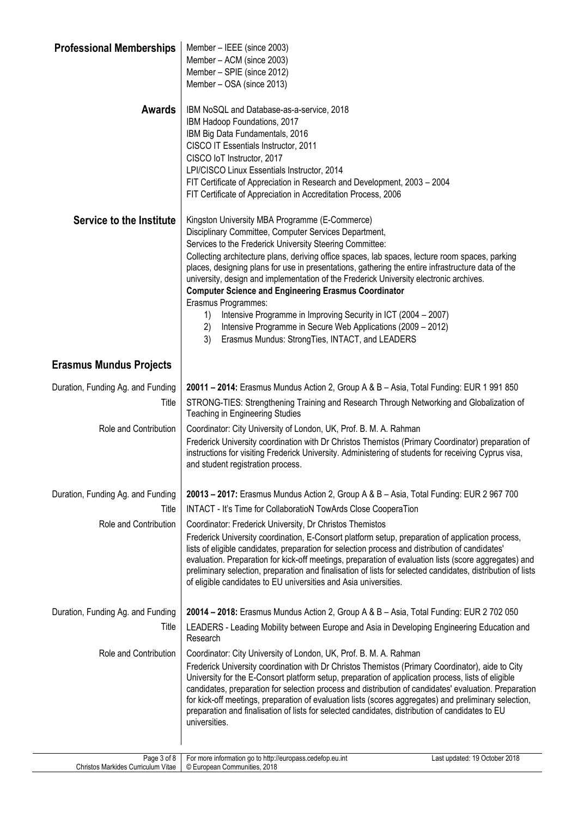| <b>Professional Memberships</b>   | Member - IEEE (since 2003)<br>Member - ACM (since 2003)<br>Member - SPIE (since 2012)<br>Member - OSA (since 2013)                                                                                                                                                                                                                                                                                                                                                                                                                                                                                                                                                                                                                                                 |
|-----------------------------------|--------------------------------------------------------------------------------------------------------------------------------------------------------------------------------------------------------------------------------------------------------------------------------------------------------------------------------------------------------------------------------------------------------------------------------------------------------------------------------------------------------------------------------------------------------------------------------------------------------------------------------------------------------------------------------------------------------------------------------------------------------------------|
| <b>Awards</b>                     | IBM NoSQL and Database-as-a-service, 2018<br>IBM Hadoop Foundations, 2017<br>IBM Big Data Fundamentals, 2016<br>CISCO IT Essentials Instructor, 2011<br>CISCO IoT Instructor, 2017<br>LPI/CISCO Linux Essentials Instructor, 2014<br>FIT Certificate of Appreciation in Research and Development, 2003 - 2004<br>FIT Certificate of Appreciation in Accreditation Process, 2006                                                                                                                                                                                                                                                                                                                                                                                    |
| Service to the Institute          | Kingston University MBA Programme (E-Commerce)<br>Disciplinary Committee, Computer Services Department,<br>Services to the Frederick University Steering Committee:<br>Collecting architecture plans, deriving office spaces, lab spaces, lecture room spaces, parking<br>places, designing plans for use in presentations, gathering the entire infrastructure data of the<br>university, design and implementation of the Frederick University electronic archives.<br><b>Computer Science and Engineering Erasmus Coordinator</b><br>Erasmus Programmes:<br>Intensive Programme in Improving Security in ICT (2004 - 2007)<br>1)<br>Intensive Programme in Secure Web Applications (2009 - 2012)<br>2)<br>3)<br>Erasmus Mundus: StrongTies, INTACT, and LEADERS |
| <b>Erasmus Mundus Projects</b>    |                                                                                                                                                                                                                                                                                                                                                                                                                                                                                                                                                                                                                                                                                                                                                                    |
| Duration, Funding Ag. and Funding | 20011 - 2014: Erasmus Mundus Action 2, Group A & B - Asia, Total Funding: EUR 1 991 850                                                                                                                                                                                                                                                                                                                                                                                                                                                                                                                                                                                                                                                                            |
| Title                             | STRONG-TIES: Strengthening Training and Research Through Networking and Globalization of<br><b>Teaching in Engineering Studies</b>                                                                                                                                                                                                                                                                                                                                                                                                                                                                                                                                                                                                                                 |
| Role and Contribution             | Coordinator: City University of London, UK, Prof. B. M. A. Rahman<br>Frederick University coordination with Dr Christos Themistos (Primary Coordinator) preparation of<br>instructions for visiting Frederick University. Administering of students for receiving Cyprus visa,<br>and student registration process.                                                                                                                                                                                                                                                                                                                                                                                                                                                |
| Duration, Funding Ag. and Funding | 20013 - 2017: Erasmus Mundus Action 2, Group A & B - Asia, Total Funding: EUR 2 967 700                                                                                                                                                                                                                                                                                                                                                                                                                                                                                                                                                                                                                                                                            |
| Title                             | INTACT - It's Time for CollaboratioN TowArds Close CooperaTion                                                                                                                                                                                                                                                                                                                                                                                                                                                                                                                                                                                                                                                                                                     |
| Role and Contribution             | Coordinator: Frederick University, Dr Christos Themistos                                                                                                                                                                                                                                                                                                                                                                                                                                                                                                                                                                                                                                                                                                           |
|                                   | Frederick University coordination, E-Consort platform setup, preparation of application process,<br>lists of eligible candidates, preparation for selection process and distribution of candidates'<br>evaluation. Preparation for kick-off meetings, preparation of evaluation lists (score aggregates) and<br>preliminary selection, preparation and finalisation of lists for selected candidates, distribution of lists<br>of eligible candidates to EU universities and Asia universities.                                                                                                                                                                                                                                                                    |
| Duration, Funding Ag. and Funding | 20014 - 2018: Erasmus Mundus Action 2, Group A & B - Asia, Total Funding: EUR 2 702 050                                                                                                                                                                                                                                                                                                                                                                                                                                                                                                                                                                                                                                                                            |
| Title                             | LEADERS - Leading Mobility between Europe and Asia in Developing Engineering Education and<br>Research                                                                                                                                                                                                                                                                                                                                                                                                                                                                                                                                                                                                                                                             |
| Role and Contribution             | Coordinator: City University of London, UK, Prof. B. M. A. Rahman<br>Frederick University coordination with Dr Christos Themistos (Primary Coordinator), aide to City<br>University for the E-Consort platform setup, preparation of application process, lists of eligible<br>candidates, preparation for selection process and distribution of candidates' evaluation. Preparation<br>for kick-off meetings, preparation of evaluation lists (scores aggregates) and preliminary selection,<br>preparation and finalisation of lists for selected candidates, distribution of candidates to EU<br>universities.                                                                                                                                                  |
| Page 3 of 8                       | For more information go to http://europass.cedefop.eu.int<br>Last updated: 19 October 2018                                                                                                                                                                                                                                                                                                                                                                                                                                                                                                                                                                                                                                                                         |

Christos Markides Curriculum Vitae © European Communities, 2018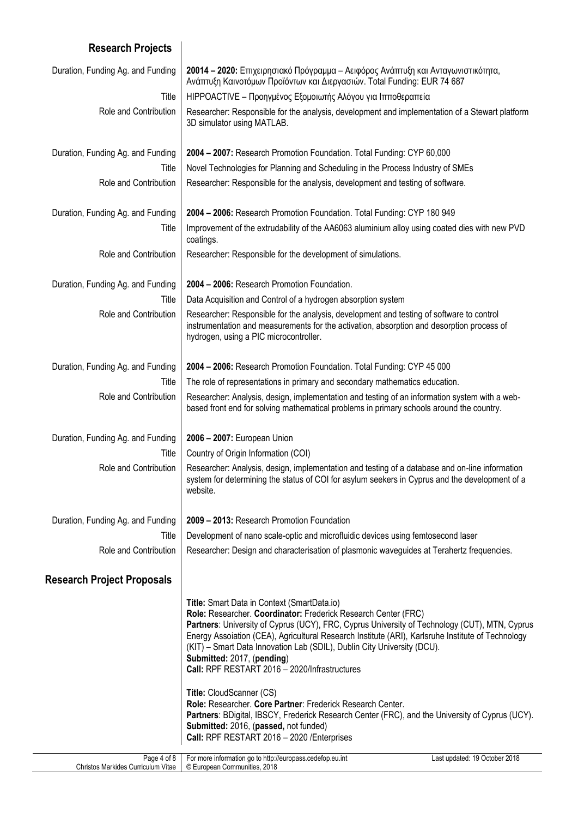## Page 4 of 8 Christos Markides Curriculum Vitae For more information go to http://europass.cedefop.eu.int Last updated: 19 October 2018 © European Communities, 2018 **Research Projects** Duration, Funding Ag. and Funding **20014 – 2020:** Επιχειρησιακό Πρόγραμμα – Αειφόρος Ανάπτυξη και Ανταγωνιστικότητα, Ανάπτυξη Καινοτόμων Προϊόντων και Διεργασιών. Total Funding: EUR 74 687 Title HIPPOACTIVE – Προηγμένος Εξομοιωτής Αλόγου για Ιπποθεραπεία Role and Contribution | Researcher: Responsible for the analysis, development and implementation of a Stewart platform 3D simulator using MATLAB. Duration, Funding Ag. and Funding **2004 – 2007:** Research Promotion Foundation. Total Funding: CYP 60,000 Title | Novel Technologies for Planning and Scheduling in the Process Industry of SMEs Role and Contribution | Researcher: Responsible for the analysis, development and testing of software. Duration, Funding Ag. and Funding **2004 – 2006:** Research Promotion Foundation. Total Funding: CYP 180 949 Title | Improvement of the extrudability of the AA6063 aluminium alloy using coated dies with new PVD coatings. Role and Contribution | Researcher: Responsible for the development of simulations. Duration, Funding Ag. and Funding **2004 – 2006:** Research Promotion Foundation. Title | Data Acquisition and Control of a hydrogen absorption system Role and Contribution | Researcher: Responsible for the analysis, development and testing of software to control instrumentation and measurements for the activation, absorption and desorption process of hydrogen, using a PIC microcontroller. Duration, Funding Ag. and Funding **2004 – 2006:** Research Promotion Foundation. Total Funding: CYP 45 000 Title  $\parallel$  The role of representations in primary and secondary mathematics education. Role and Contribution | Researcher: Analysis, design, implementation and testing of an information system with a webbased front end for solving mathematical problems in primary schools around the country. Duration, Funding Ag. and Funding **2006 – 2007:** European Union Title | Country of Origin Information (COI) Role and Contribution | Researcher: Analysis, design, implementation and testing of a database and on-line information system for determining the status of COI for asylum seekers in Cyprus and the development of a website. Duration, Funding Ag. and Funding **2009 – 2013:** Research Promotion Foundation Title Development of nano scale-optic and microfluidic devices using femtosecond laser Role and Contribution | Researcher: Design and characterisation of plasmonic waveguides at Terahertz frequencies. **Research Project Proposals Title:** Smart Data in Context (SmartData.io) **Role:** Researcher. **Coordinator:** Frederick Research Center (FRC) **Partners**: University of Cyprus (UCY), FRC, Cyprus University of Technology (CUT), MTN, Cyprus Energy Assoiation (CEA), Agricultural Research Institute (ARI), Karlsruhe Institute of Technology (KIT) – Smart Data Innovation Lab (SDIL), Dublin City University (DCU). **Submitted:** 2017, (**pending**) **Call:** RPF RESTART 2016 – 2020/Infrastructures **Title:** CloudScanner (CS) **Role:** Researcher. **Core Partner**: Frederick Research Center. **Partners**: BDigital, IBSCY, Frederick Research Center (FRC), and the University of Cyprus (UCY). **Submitted:** 2016, (**passed,** not funded) **Call:** RPF RESTART 2016 – 2020 /Enterprises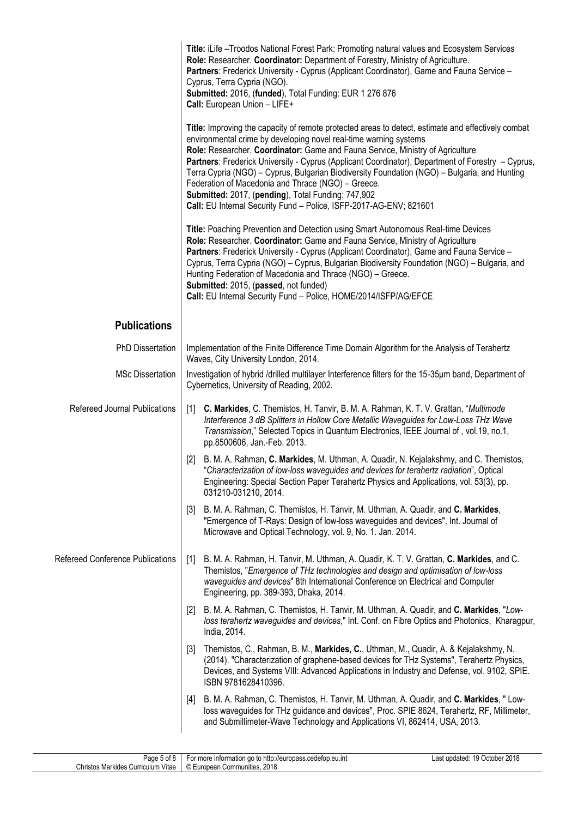|                                         | Title: iLife - Troodos National Forest Park: Promoting natural values and Ecosystem Services<br>Role: Researcher. Coordinator: Department of Forestry, Ministry of Agriculture.<br>Partners: Frederick University - Cyprus (Applicant Coordinator), Game and Fauna Service -<br>Cyprus, Terra Cypria (NGO).<br>Submitted: 2016, (funded), Total Funding: EUR 1 276 876<br>Call: European Union - LIFE+                                                                                                                                                                                                                                           |  |  |
|-----------------------------------------|--------------------------------------------------------------------------------------------------------------------------------------------------------------------------------------------------------------------------------------------------------------------------------------------------------------------------------------------------------------------------------------------------------------------------------------------------------------------------------------------------------------------------------------------------------------------------------------------------------------------------------------------------|--|--|
|                                         | Title: Improving the capacity of remote protected areas to detect, estimate and effectively combat<br>environmental crime by developing novel real-time warning systems<br>Role: Researcher. Coordinator: Game and Fauna Service, Ministry of Agriculture<br>Partners: Frederick University - Cyprus (Applicant Coordinator), Department of Forestry - Cyprus,<br>Terra Cypria (NGO) – Cyprus, Bulgarian Biodiversity Foundation (NGO) – Bulgaria, and Hunting<br>Federation of Macedonia and Thrace (NGO) - Greece.<br>Submitted: 2017, (pending), Total Funding: 747,902<br>Call: EU Internal Security Fund - Police, ISFP-2017-AG-ENV; 821601 |  |  |
|                                         | Title: Poaching Prevention and Detection using Smart Autonomous Real-time Devices<br>Role: Researcher. Coordinator: Game and Fauna Service, Ministry of Agriculture<br>Partners: Frederick University - Cyprus (Applicant Coordinator), Game and Fauna Service -<br>Cyprus, Terra Cypria (NGO) – Cyprus, Bulgarian Biodiversity Foundation (NGO) – Bulgaria, and<br>Hunting Federation of Macedonia and Thrace (NGO) - Greece.<br>Submitted: 2015, (passed, not funded)<br>Call: EU Internal Security Fund - Police, HOME/2014/ISFP/AG/EFCE                                                                                                      |  |  |
| <b>Publications</b>                     |                                                                                                                                                                                                                                                                                                                                                                                                                                                                                                                                                                                                                                                  |  |  |
| <b>PhD Dissertation</b>                 | Implementation of the Finite Difference Time Domain Algorithm for the Analysis of Terahertz<br>Waves, City University London, 2014.                                                                                                                                                                                                                                                                                                                                                                                                                                                                                                              |  |  |
| <b>MSc Dissertation</b>                 | Investigation of hybrid /drilled multilayer Interference filters for the 15-35um band, Department of<br>Cybernetics, University of Reading, 2002.                                                                                                                                                                                                                                                                                                                                                                                                                                                                                                |  |  |
| Refereed Journal Publications           | C. Markides, C. Themistos, H. Tanvir, B. M. A. Rahman, K. T. V. Grattan, "Multimode<br>$\lceil 1 \rceil$<br>Interference 3 dB Splitters in Hollow Core Metallic Waveguides for Low-Loss THz Wave<br>Transmission," Selected Topics in Quantum Electronics, IEEE Journal of, vol.19, no.1,<br>pp.8500606, Jan.-Feb. 2013.                                                                                                                                                                                                                                                                                                                         |  |  |
|                                         | B. M. A. Rahman, C. Markides, M. Uthman, A. Quadir, N. Kejalakshmy, and C. Themistos,<br>[2]<br>"Characterization of low-loss waveguides and devices for terahertz radiation", Optical<br>Engineering: Special Section Paper Terahertz Physics and Applications, vol. 53(3), pp.<br>031210-031210, 2014.                                                                                                                                                                                                                                                                                                                                         |  |  |
|                                         | B. M. A. Rahman, C. Themistos, H. Tanvir, M. Uthman, A. Quadir, and C. Markides,<br>$[3]$<br>"Emergence of T-Rays: Design of low-loss waveguides and devices", Int. Journal of<br>Microwave and Optical Technology, vol. 9, No. 1. Jan. 2014.                                                                                                                                                                                                                                                                                                                                                                                                    |  |  |
| <b>Refereed Conference Publications</b> | B. M. A. Rahman, H. Tanvir, M. Uthman, A. Quadir, K. T. V. Grattan, C. Markides, and C.<br>$\lceil 1 \rceil$<br>Themistos, "Emergence of THz technologies and design and optimisation of low-loss<br>waveguides and devices" 8th International Conference on Electrical and Computer<br>Engineering, pp. 389-393, Dhaka, 2014.                                                                                                                                                                                                                                                                                                                   |  |  |
|                                         | B. M. A. Rahman, C. Themistos, H. Tanvir, M. Uthman, A. Quadir, and C. Markides, "Low-<br>$[2]$<br>loss terahertz waveguides and devices," Int. Conf. on Fibre Optics and Photonics, Kharagpur,<br>India, 2014.                                                                                                                                                                                                                                                                                                                                                                                                                                  |  |  |
|                                         | Themistos, C., Rahman, B. M., Markides, C., Uthman, M., Quadir, A. & Kejalakshmy, N.<br>[3]<br>(2014). "Characterization of graphene-based devices for THz Systems", Terahertz Physics,<br>Devices, and Systems VIII: Advanced Applications in Industry and Defense, vol. 9102, SPIE.<br>ISBN 9781628410396.                                                                                                                                                                                                                                                                                                                                     |  |  |
|                                         | B. M. A. Rahman, C. Themistos, H. Tanvir, M. Uthman, A. Quadir, and C. Markides, "Low-<br>$[4]$<br>loss waveguides for THz guidance and devices", Proc. SPIE 8624, Terahertz, RF, Millimeter,<br>and Submillimeter-Wave Technology and Applications VI, 862414, USA, 2013.                                                                                                                                                                                                                                                                                                                                                                       |  |  |

| $\sim$<br>Page 5<br>$  -$<br>ΩI                                        | ว://europass.cedefop.eu.int<br>ntormation<br>ന<br><sup>.</sup> more<br>υ | 2018<br>)ctober<br>updated<br>u<br>$\overline{ }$ |
|------------------------------------------------------------------------|--------------------------------------------------------------------------|---------------------------------------------------|
| $\cdots$<br>Christos<br>Vitae<br>. Gumculum <sup>v</sup><br>. Markides | 2018<br>) European<br>Communities.<br>w                                  |                                                   |
|                                                                        |                                                                          |                                                   |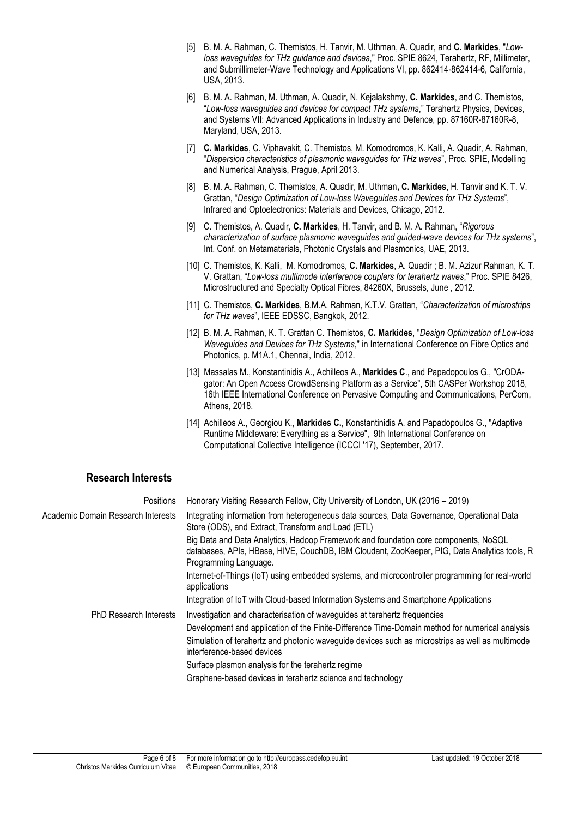|                                           | B. M. A. Rahman, C. Themistos, H. Tanvir, M. Uthman, A. Quadir, and C. Markides, "Low-<br>$\lceil 5 \rceil$<br>loss waveguides for THz guidance and devices," Proc. SPIE 8624, Terahertz, RF, Millimeter,<br>and Submillimeter-Wave Technology and Applications VI, pp. 862414-862414-6, California,<br>USA, 2013. |
|-------------------------------------------|--------------------------------------------------------------------------------------------------------------------------------------------------------------------------------------------------------------------------------------------------------------------------------------------------------------------|
|                                           | B. M. A. Rahman, M. Uthman, A. Quadir, N. Kejalakshmy, C. Markides, and C. Themistos,<br>[6]<br>"Low-loss waveguides and devices for compact THz systems," Terahertz Physics, Devices,<br>and Systems VII: Advanced Applications in Industry and Defence, pp. 87160R-87160R-8,<br>Maryland, USA, 2013.             |
|                                           | C. Markides, C. Viphavakit, C. Themistos, M. Komodromos, K. Kalli, A. Quadir, A. Rahman,<br>$[7]$<br>"Dispersion characteristics of plasmonic waveguides for THz waves", Proc. SPIE, Modelling<br>and Numerical Analysis, Prague, April 2013.                                                                      |
|                                           | B. M. A. Rahman, C. Themistos, A. Quadir, M. Uthman, C. Markides, H. Tanvir and K. T. V.<br>[8]<br>Grattan, "Design Optimization of Low-loss Waveguides and Devices for THz Systems",<br>Infrared and Optoelectronics: Materials and Devices, Chicago, 2012.                                                       |
|                                           | C. Themistos, A. Quadir, C. Markides, H. Tanvir, and B. M. A. Rahman, "Rigorous<br>[9]<br>characterization of surface plasmonic waveguides and guided-wave devices for THz systems",<br>Int. Conf. on Metamaterials, Photonic Crystals and Plasmonics, UAE, 2013.                                                  |
|                                           | [10] C. Themistos, K. Kalli, M. Komodromos, C. Markides, A. Quadir; B. M. Azizur Rahman, K. T.<br>V. Grattan, "Low-loss multimode interference couplers for terahertz waves," Proc. SPIE 8426,<br>Microstructured and Specialty Optical Fibres, 84260X, Brussels, June, 2012.                                      |
|                                           | [11] C. Themistos, C. Markides, B.M.A. Rahman, K.T.V. Grattan, "Characterization of microstrips"<br>for THz waves", IEEE EDSSC, Bangkok, 2012.                                                                                                                                                                     |
|                                           | [12] B. M. A. Rahman, K. T. Grattan C. Themistos, C. Markides, "Design Optimization of Low-loss<br>Waveguides and Devices for THz Systems," in International Conference on Fibre Optics and<br>Photonics, p. M1A.1, Chennai, India, 2012.                                                                          |
|                                           | [13] Massalas M., Konstantinidis A., Achilleos A., Markides C., and Papadopoulos G., "CrODA-<br>gator: An Open Access CrowdSensing Platform as a Service", 5th CASPer Workshop 2018,<br>16th IEEE International Conference on Pervasive Computing and Communications, PerCom,<br>Athens, 2018.                     |
|                                           | [14] Achilleos A., Georgiou K., Markides C., Konstantinidis A. and Papadopoulos G., "Adaptive<br>Runtime Middleware: Everything as a Service", 9th International Conference on<br>Computational Collective Intelligence (ICCCI '17), September, 2017.                                                              |
| <b>Research Interests</b>                 |                                                                                                                                                                                                                                                                                                                    |
| Positions                                 | Honorary Visiting Research Fellow, City University of London, UK (2016 – 2019)                                                                                                                                                                                                                                     |
| <b>Academic Domain Research Interests</b> | Integrating information from heterogeneous data sources, Data Governance, Operational Data<br>Store (ODS), and Extract, Transform and Load (ETL)                                                                                                                                                                   |
|                                           | Big Data and Data Analytics, Hadoop Framework and foundation core components, NoSQL<br>databases, APIs, HBase, HIVE, CouchDB, IBM Cloudant, ZooKeeper, PIG, Data Analytics tools, R<br>Programming Language.                                                                                                       |
|                                           | Internet-of-Things (IoT) using embedded systems, and microcontroller programming for real-world<br>applications                                                                                                                                                                                                    |
|                                           | Integration of IoT with Cloud-based Information Systems and Smartphone Applications                                                                                                                                                                                                                                |
| <b>PhD Research Interests</b>             | Investigation and characterisation of waveguides at terahertz frequencies                                                                                                                                                                                                                                          |
|                                           | Development and application of the Finite-Difference Time-Domain method for numerical analysis                                                                                                                                                                                                                     |
|                                           | Simulation of terahertz and photonic waveguide devices such as microstrips as well as multimode<br>interference-based devices                                                                                                                                                                                      |
|                                           | Surface plasmon analysis for the terahertz regime                                                                                                                                                                                                                                                                  |
|                                           | Graphene-based devices in terahertz science and technology                                                                                                                                                                                                                                                         |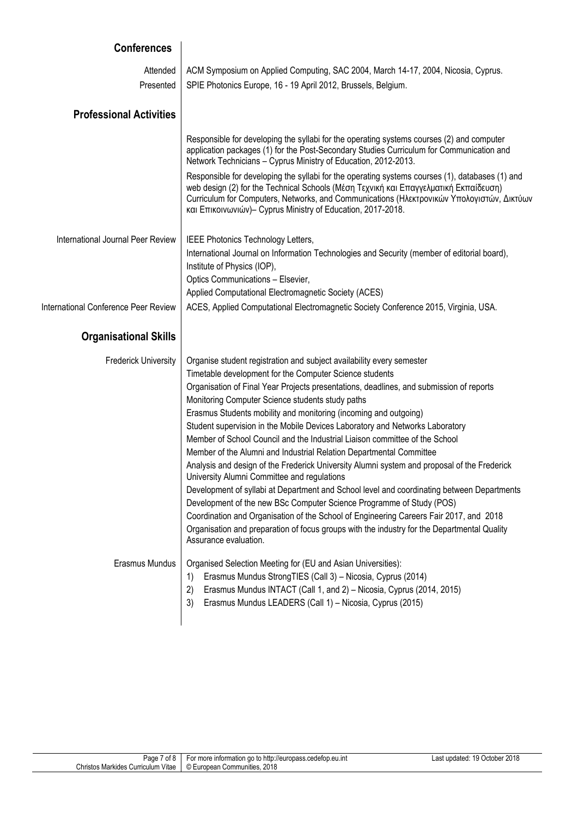| <b>Conferences</b>                   |                                                                                                                                                                                                                                                                                                                                                                                                                                                                                                                                                                                                                                                                                                                                                                                                                                                                                                                                                                                                                                                                                                                                 |
|--------------------------------------|---------------------------------------------------------------------------------------------------------------------------------------------------------------------------------------------------------------------------------------------------------------------------------------------------------------------------------------------------------------------------------------------------------------------------------------------------------------------------------------------------------------------------------------------------------------------------------------------------------------------------------------------------------------------------------------------------------------------------------------------------------------------------------------------------------------------------------------------------------------------------------------------------------------------------------------------------------------------------------------------------------------------------------------------------------------------------------------------------------------------------------|
| Attended<br>Presented                | ACM Symposium on Applied Computing, SAC 2004, March 14-17, 2004, Nicosia, Cyprus.<br>SPIE Photonics Europe, 16 - 19 April 2012, Brussels, Belgium.                                                                                                                                                                                                                                                                                                                                                                                                                                                                                                                                                                                                                                                                                                                                                                                                                                                                                                                                                                              |
| <b>Professional Activities</b>       |                                                                                                                                                                                                                                                                                                                                                                                                                                                                                                                                                                                                                                                                                                                                                                                                                                                                                                                                                                                                                                                                                                                                 |
|                                      | Responsible for developing the syllabi for the operating systems courses (2) and computer<br>application packages (1) for the Post-Secondary Studies Curriculum for Communication and<br>Network Technicians - Cyprus Ministry of Education, 2012-2013.                                                                                                                                                                                                                                                                                                                                                                                                                                                                                                                                                                                                                                                                                                                                                                                                                                                                         |
|                                      | Responsible for developing the syllabi for the operating systems courses (1), databases (1) and<br>web design (2) for the Technical Schools (Μέση Τεχνική και Επαγγελματική Εκπαίδευση)<br>Curriculum for Computers, Networks, and Communications (Ηλεκτρονικών Υπολογιστών, Δικτύων<br>και Επικοινωνιών)- Cyprus Ministry of Education, 2017-2018.                                                                                                                                                                                                                                                                                                                                                                                                                                                                                                                                                                                                                                                                                                                                                                             |
| International Journal Peer Review    | IEEE Photonics Technology Letters,<br>International Journal on Information Technologies and Security (member of editorial board),<br>Institute of Physics (IOP),<br>Optics Communications - Elsevier,<br>Applied Computational Electromagnetic Society (ACES)                                                                                                                                                                                                                                                                                                                                                                                                                                                                                                                                                                                                                                                                                                                                                                                                                                                                   |
| International Conference Peer Review | ACES, Applied Computational Electromagnetic Society Conference 2015, Virginia, USA.                                                                                                                                                                                                                                                                                                                                                                                                                                                                                                                                                                                                                                                                                                                                                                                                                                                                                                                                                                                                                                             |
| <b>Organisational Skills</b>         |                                                                                                                                                                                                                                                                                                                                                                                                                                                                                                                                                                                                                                                                                                                                                                                                                                                                                                                                                                                                                                                                                                                                 |
| <b>Frederick University</b>          | Organise student registration and subject availability every semester<br>Timetable development for the Computer Science students<br>Organisation of Final Year Projects presentations, deadlines, and submission of reports<br>Monitoring Computer Science students study paths<br>Erasmus Students mobility and monitoring (incoming and outgoing)<br>Student supervision in the Mobile Devices Laboratory and Networks Laboratory<br>Member of School Council and the Industrial Liaison committee of the School<br>Member of the Alumni and Industrial Relation Departmental Committee<br>Analysis and design of the Frederick University Alumni system and proposal of the Frederick<br>University Alumni Committee and regulations<br>Development of syllabi at Department and School level and coordinating between Departments<br>Development of the new BSc Computer Science Programme of Study (POS)<br>Coordination and Organisation of the School of Engineering Careers Fair 2017, and 2018<br>Organisation and preparation of focus groups with the industry for the Departmental Quality<br>Assurance evaluation. |
| Erasmus Mundus                       | Organised Selection Meeting for (EU and Asian Universities):<br>Erasmus Mundus StrongTIES (Call 3) - Nicosia, Cyprus (2014)<br>1)<br>2)<br>Erasmus Mundus INTACT (Call 1, and 2) - Nicosia, Cyprus (2014, 2015)<br>Erasmus Mundus LEADERS (Call 1) - Nicosia, Cyprus (2015)<br>3)                                                                                                                                                                                                                                                                                                                                                                                                                                                                                                                                                                                                                                                                                                                                                                                                                                               |